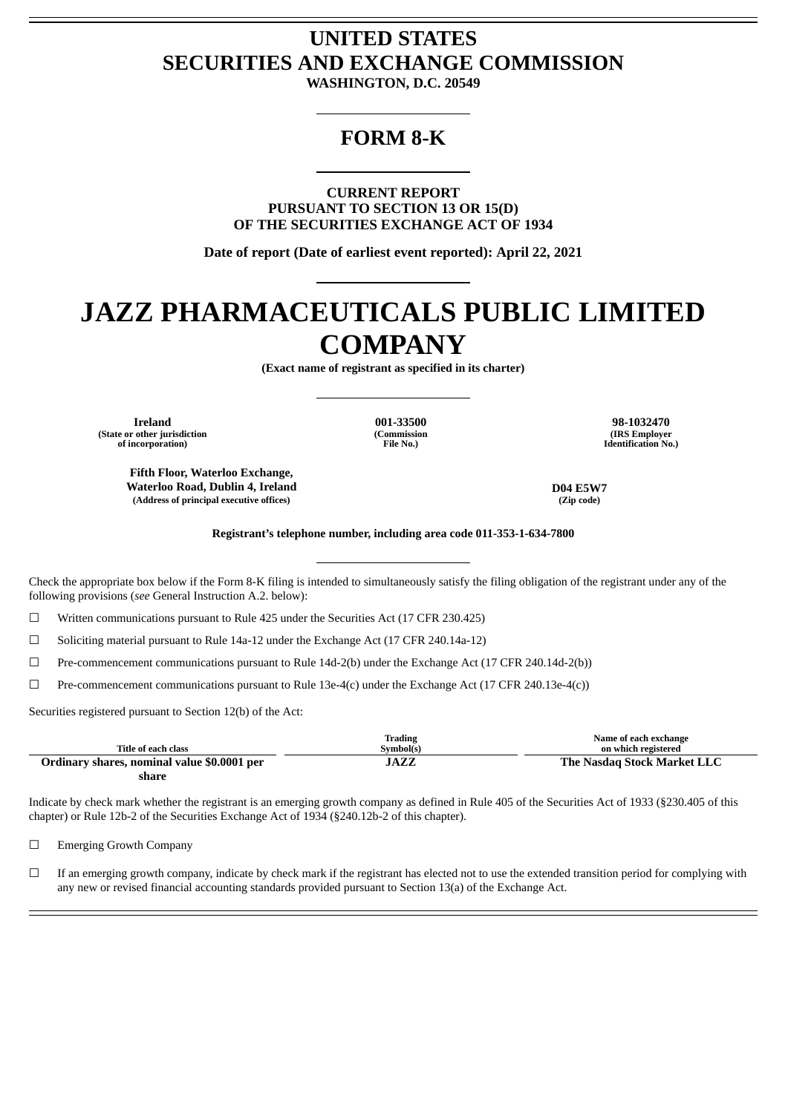# **UNITED STATES SECURITIES AND EXCHANGE COMMISSION**

**WASHINGTON, D.C. 20549**

## **FORM 8-K**

**CURRENT REPORT PURSUANT TO SECTION 13 OR 15(D) OF THE SECURITIES EXCHANGE ACT OF 1934**

**Date of report (Date of earliest event reported): April 22, 2021**

# **JAZZ PHARMACEUTICALS PUBLIC LIMITED COMPANY**

**(Exact name of registrant as specified in its charter)**

**(State or other jurisdiction of incorporation)**

**(Commission File No.)**

**Ireland 001-33500 98-1032470 (IRS Employer Identification No.)**

**Fifth Floor, Waterloo Exchange, Waterloo Road, Dublin 4, Ireland D04 E5W7 (Address of principal executive offices) (Zip code)**

**Registrant's telephone number, including area code 011-353-1-634-7800**

Check the appropriate box below if the Form 8-K filing is intended to simultaneously satisfy the filing obligation of the registrant under any of the following provisions (*see* General Instruction A.2. below):

☐ Written communications pursuant to Rule 425 under the Securities Act (17 CFR 230.425)

 $\Box$  Soliciting material pursuant to Rule 14a-12 under the Exchange Act (17 CFR 240.14a-12)

☐ Pre-commencement communications pursuant to Rule 14d-2(b) under the Exchange Act (17 CFR 240.14d-2(b))

 $\Box$  Pre-commencement communications pursuant to Rule 13e-4(c) under the Exchange Act (17 CFR 240.13e-4(c))

Securities registered pursuant to Section 12(b) of the Act:

|                                             | Trading   | Name of each exchange       |
|---------------------------------------------|-----------|-----------------------------|
| Title of each class                         | Svmbol(s) | on which registered         |
| Ordinary shares, nominal value \$0.0001 per | JAZZ      | The Nasdag Stock Market LLC |
| share                                       |           |                             |

Indicate by check mark whether the registrant is an emerging growth company as defined in Rule 405 of the Securities Act of 1933 (§230.405 of this chapter) or Rule 12b-2 of the Securities Exchange Act of 1934 (§240.12b-2 of this chapter).

☐ Emerging Growth Company

☐ If an emerging growth company, indicate by check mark if the registrant has elected not to use the extended transition period for complying with any new or revised financial accounting standards provided pursuant to Section 13(a) of the Exchange Act.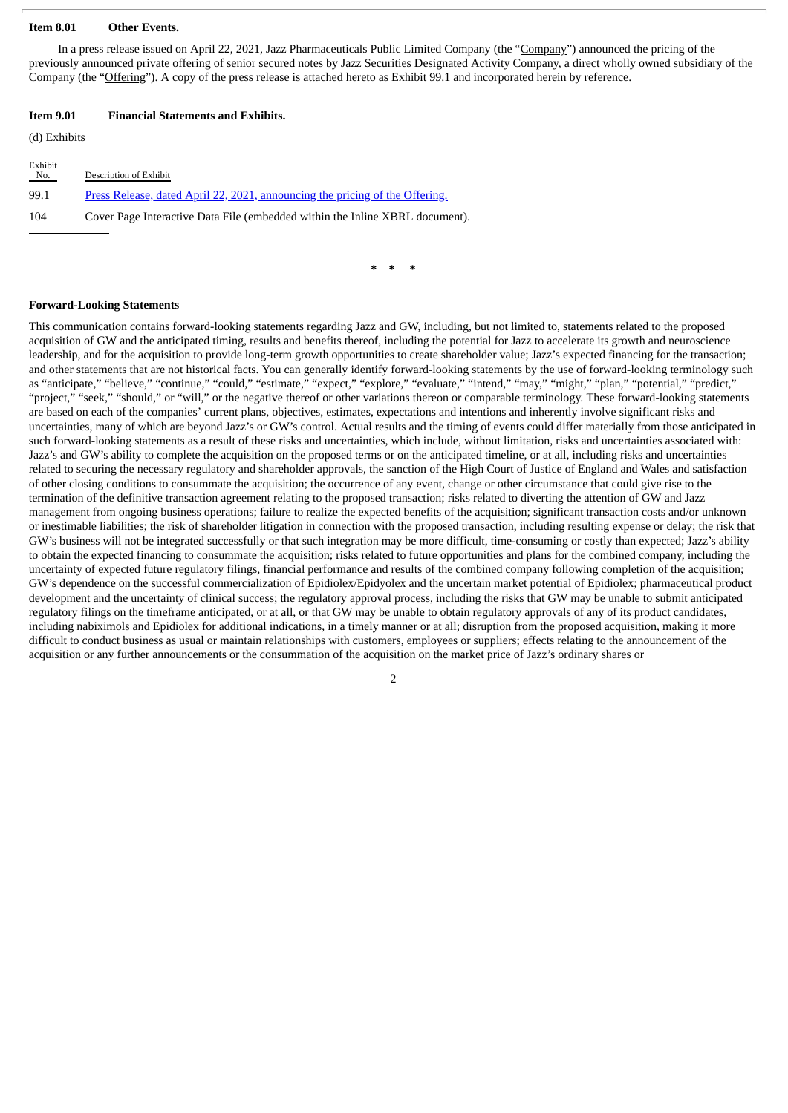#### **Item 8.01 Other Events.**

In a press release issued on April 22, 2021, Jazz Pharmaceuticals Public Limited Company (the "Company") announced the pricing of the previously announced private offering of senior secured notes by Jazz Securities Designated Activity Company, a direct wholly owned subsidiary of the Company (the "Offering"). A copy of the press release is attached hereto as Exhibit 99.1 and incorporated herein by reference.

## **Item 9.01 Financial Statements and Exhibits.**

(d) Exhibits

| Exhibit<br>No. | Description of Exhibit                                                       |
|----------------|------------------------------------------------------------------------------|
| 99.1           | Press Release, dated April 22, 2021, announcing the pricing of the Offering. |
| 104            | Cover Page Interactive Data File (embedded within the Inline XBRL document). |

**\* \* \***

### **Forward-Looking Statements**

This communication contains forward-looking statements regarding Jazz and GW, including, but not limited to, statements related to the proposed acquisition of GW and the anticipated timing, results and benefits thereof, including the potential for Jazz to accelerate its growth and neuroscience leadership, and for the acquisition to provide long-term growth opportunities to create shareholder value; Jazz's expected financing for the transaction; and other statements that are not historical facts. You can generally identify forward-looking statements by the use of forward-looking terminology such as "anticipate," "believe," "continue," "could," "estimate," "expect," "explore," "evaluate," "intend," "may," "might," "plan," "potential," "predict," "proiect." "seek," "should," or "will," or the negative thereof or other variations thereon or comparable terminology. These forward-looking statements are based on each of the companies' current plans, objectives, estimates, expectations and intentions and inherently involve significant risks and uncertainties, many of which are beyond Jazz's or GW's control. Actual results and the timing of events could differ materially from those anticipated in such forward-looking statements as a result of these risks and uncertainties, which include, without limitation, risks and uncertainties associated with: Jazz's and GW's ability to complete the acquisition on the proposed terms or on the anticipated timeline, or at all, including risks and uncertainties related to securing the necessary regulatory and shareholder approvals, the sanction of the High Court of Justice of England and Wales and satisfaction of other closing conditions to consummate the acquisition; the occurrence of any event, change or other circumstance that could give rise to the termination of the definitive transaction agreement relating to the proposed transaction; risks related to diverting the attention of GW and Jazz management from ongoing business operations; failure to realize the expected benefits of the acquisition; significant transaction costs and/or unknown or inestimable liabilities; the risk of shareholder litigation in connection with the proposed transaction, including resulting expense or delay; the risk that GW's business will not be integrated successfully or that such integration may be more difficult, time-consuming or costly than expected; Jazz's ability to obtain the expected financing to consummate the acquisition; risks related to future opportunities and plans for the combined company, including the uncertainty of expected future regulatory filings, financial performance and results of the combined company following completion of the acquisition; GW's dependence on the successful commercialization of Epidiolex/Epidyolex and the uncertain market potential of Epidiolex; pharmaceutical product development and the uncertainty of clinical success; the regulatory approval process, including the risks that GW may be unable to submit anticipated regulatory filings on the timeframe anticipated, or at all, or that GW may be unable to obtain regulatory approvals of any of its product candidates, including nabiximols and Epidiolex for additional indications, in a timely manner or at all; disruption from the proposed acquisition, making it more difficult to conduct business as usual or maintain relationships with customers, employees or suppliers; effects relating to the announcement of the acquisition or any further announcements or the consummation of the acquisition on the market price of Jazz's ordinary shares or

2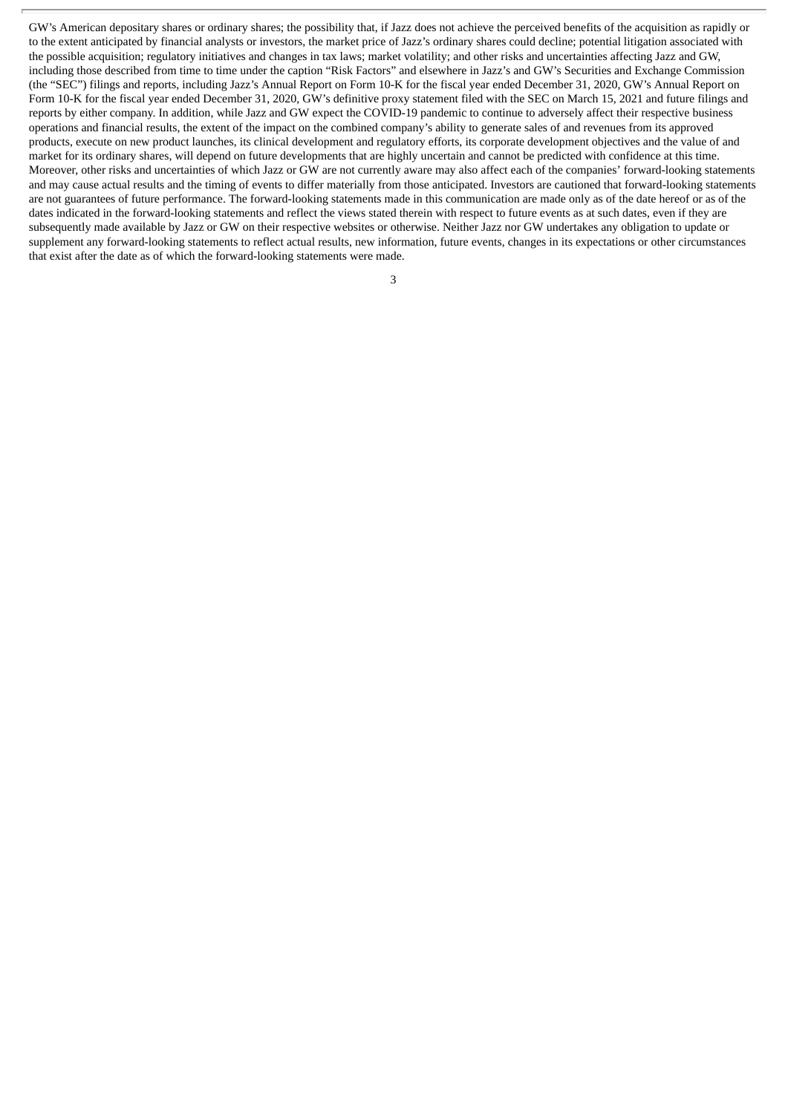GW's American depositary shares or ordinary shares; the possibility that, if Jazz does not achieve the perceived benefits of the acquisition as rapidly or to the extent anticipated by financial analysts or investors, the market price of Jazz's ordinary shares could decline; potential litigation associated with the possible acquisition; regulatory initiatives and changes in tax laws; market volatility; and other risks and uncertainties affecting Jazz and GW, including those described from time to time under the caption "Risk Factors" and elsewhere in Jazz's and GW's Securities and Exchange Commission (the "SEC") filings and reports, including Jazz's Annual Report on Form 10-K for the fiscal year ended December 31, 2020, GW's Annual Report on Form 10-K for the fiscal year ended December 31, 2020, GW's definitive proxy statement filed with the SEC on March 15, 2021 and future filings and reports by either company. In addition, while Jazz and GW expect the COVID-19 pandemic to continue to adversely affect their respective business operations and financial results, the extent of the impact on the combined company's ability to generate sales of and revenues from its approved products, execute on new product launches, its clinical development and regulatory efforts, its corporate development objectives and the value of and market for its ordinary shares, will depend on future developments that are highly uncertain and cannot be predicted with confidence at this time. Moreover, other risks and uncertainties of which Jazz or GW are not currently aware may also affect each of the companies' forward-looking statements and may cause actual results and the timing of events to differ materially from those anticipated. Investors are cautioned that forward-looking statements are not guarantees of future performance. The forward-looking statements made in this communication are made only as of the date hereof or as of the dates indicated in the forward-looking statements and reflect the views stated therein with respect to future events as at such dates, even if they are subsequently made available by Jazz or GW on their respective websites or otherwise. Neither Jazz nor GW undertakes any obligation to update or supplement any forward-looking statements to reflect actual results, new information, future events, changes in its expectations or other circumstances that exist after the date as of which the forward-looking statements were made.

3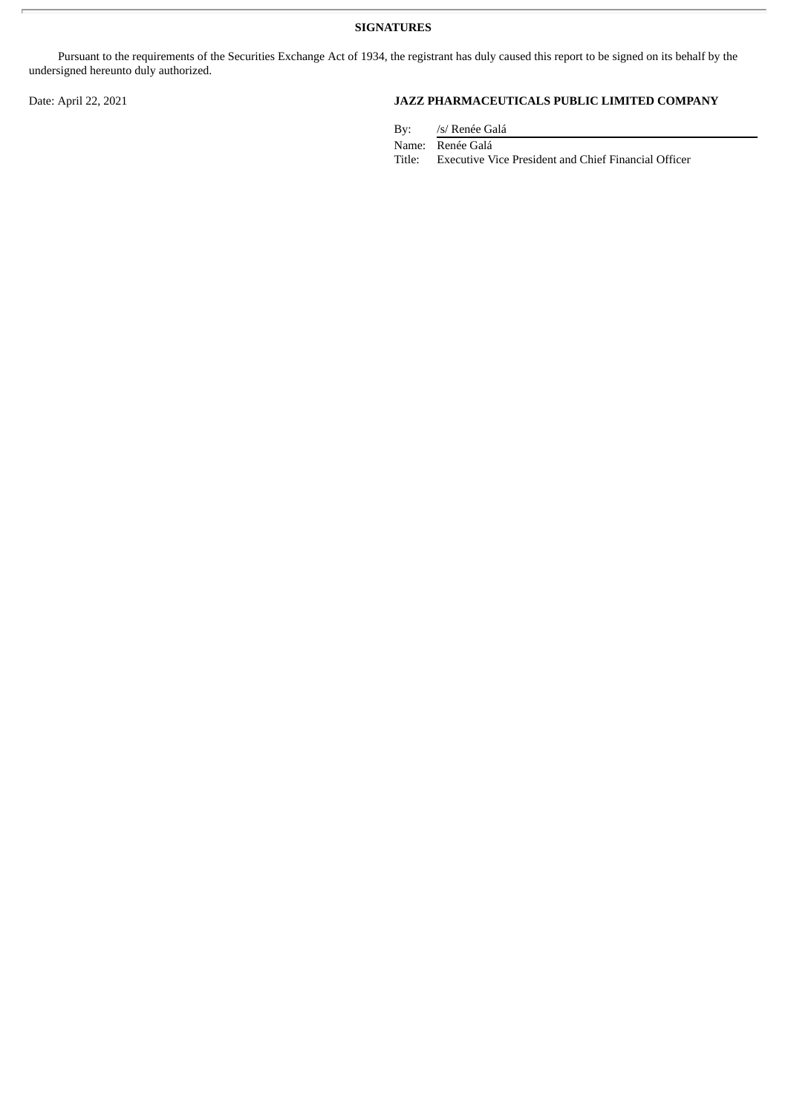**SIGNATURES**

Pursuant to the requirements of the Securities Exchange Act of 1934, the registrant has duly caused this report to be signed on its behalf by the undersigned hereunto duly authorized.

## Date: April 22, 2021 **JAZZ PHARMACEUTICALS PUBLIC LIMITED COMPANY**

By: /s/ Renée Galá

Name: Renée Galá

Title: Executive Vice President and Chief Financial Officer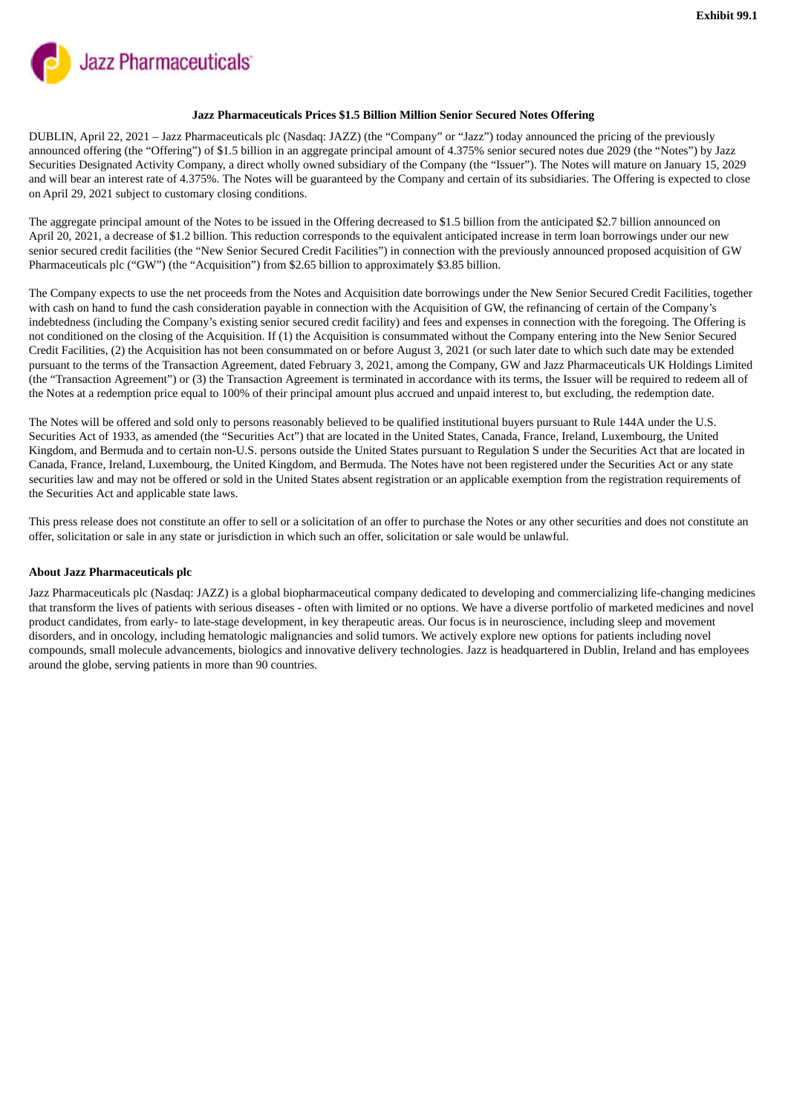<span id="page-4-0"></span>**Jazz Pharmaceuticals** 

## **Jazz Pharmaceuticals Prices \$1.5 Billion Million Senior Secured Notes Offering**

DUBLIN, April 22, 2021 *–* Jazz Pharmaceuticals plc (Nasdaq: JAZZ) (the "Company" or "Jazz") today announced the pricing of the previously announced offering (the "Offering") of \$1.5 billion in an aggregate principal amount of 4.375% senior secured notes due 2029 (the "Notes") by Jazz Securities Designated Activity Company, a direct wholly owned subsidiary of the Company (the "Issuer"). The Notes will mature on January 15, 2029 and will bear an interest rate of 4.375%. The Notes will be guaranteed by the Company and certain of its subsidiaries. The Offering is expected to close on April 29, 2021 subject to customary closing conditions.

The aggregate principal amount of the Notes to be issued in the Offering decreased to \$1.5 billion from the anticipated \$2.7 billion announced on April 20, 2021, a decrease of \$1.2 billion. This reduction corresponds to the equivalent anticipated increase in term loan borrowings under our new senior secured credit facilities (the "New Senior Secured Credit Facilities") in connection with the previously announced proposed acquisition of GW Pharmaceuticals plc ("GW") (the "Acquisition") from \$2.65 billion to approximately \$3.85 billion.

The Company expects to use the net proceeds from the Notes and Acquisition date borrowings under the New Senior Secured Credit Facilities, together with cash on hand to fund the cash consideration payable in connection with the Acquisition of GW, the refinancing of certain of the Company's indebtedness (including the Company's existing senior secured credit facility) and fees and expenses in connection with the foregoing. The Offering is not conditioned on the closing of the Acquisition. If (1) the Acquisition is consummated without the Company entering into the New Senior Secured Credit Facilities, (2) the Acquisition has not been consummated on or before August 3, 2021 (or such later date to which such date may be extended pursuant to the terms of the Transaction Agreement, dated February 3, 2021, among the Company, GW and Jazz Pharmaceuticals UK Holdings Limited (the "Transaction Agreement") or (3) the Transaction Agreement is terminated in accordance with its terms, the Issuer will be required to redeem all of the Notes at a redemption price equal to 100% of their principal amount plus accrued and unpaid interest to, but excluding, the redemption date.

The Notes will be offered and sold only to persons reasonably believed to be qualified institutional buyers pursuant to Rule 144A under the U.S. Securities Act of 1933, as amended (the "Securities Act") that are located in the United States, Canada, France, Ireland, Luxembourg, the United Kingdom, and Bermuda and to certain non-U.S. persons outside the United States pursuant to Regulation S under the Securities Act that are located in Canada, France, Ireland, Luxembourg, the United Kingdom, and Bermuda. The Notes have not been registered under the Securities Act or any state securities law and may not be offered or sold in the United States absent registration or an applicable exemption from the registration requirements of the Securities Act and applicable state laws.

This press release does not constitute an offer to sell or a solicitation of an offer to purchase the Notes or any other securities and does not constitute an offer, solicitation or sale in any state or jurisdiction in which such an offer, solicitation or sale would be unlawful.

## **About Jazz Pharmaceuticals plc**

Jazz Pharmaceuticals plc (Nasdaq: JAZZ) is a global biopharmaceutical company dedicated to developing and commercializing life-changing medicines that transform the lives of patients with serious diseases - often with limited or no options. We have a diverse portfolio of marketed medicines and novel product candidates, from early- to late-stage development, in key therapeutic areas. Our focus is in neuroscience, including sleep and movement disorders, and in oncology, including hematologic malignancies and solid tumors. We actively explore new options for patients including novel compounds, small molecule advancements, biologics and innovative delivery technologies. Jazz is headquartered in Dublin, Ireland and has employees around the globe, serving patients in more than 90 countries.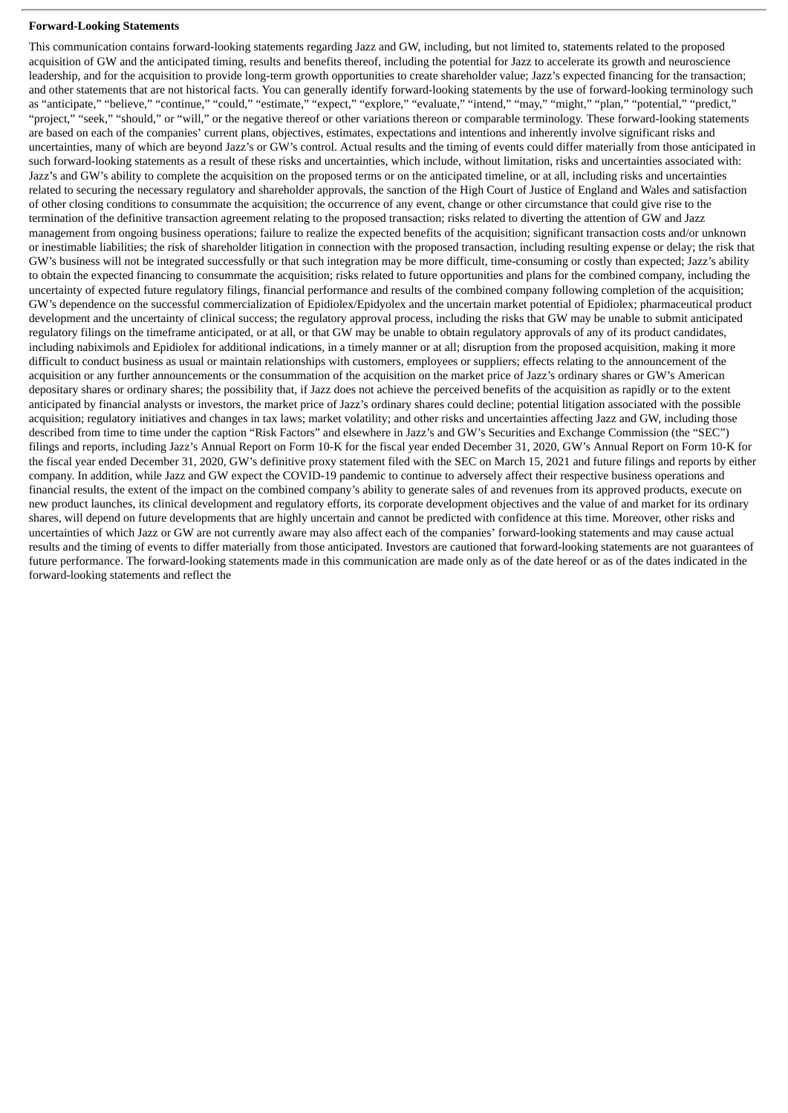## **Forward-Looking Statements**

This communication contains forward-looking statements regarding Jazz and GW, including, but not limited to, statements related to the proposed acquisition of GW and the anticipated timing, results and benefits thereof, including the potential for Jazz to accelerate its growth and neuroscience leadership, and for the acquisition to provide long-term growth opportunities to create shareholder value; Jazz's expected financing for the transaction; and other statements that are not historical facts. You can generally identify forward-looking statements by the use of forward-looking terminology such as "anticipate," "believe," "continue," "could," "estimate," "expect," "explore," "evaluate," "intend," "may," "might," "plan," "potential," "predict," "project," "seek," "should," or "will," or the negative thereof or other variations thereon or comparable terminology. These forward-looking statements are based on each of the companies' current plans, objectives, estimates, expectations and intentions and inherently involve significant risks and uncertainties, many of which are beyond Jazz's or GW's control. Actual results and the timing of events could differ materially from those anticipated in such forward-looking statements as a result of these risks and uncertainties, which include, without limitation, risks and uncertainties associated with: Jazz's and GW's ability to complete the acquisition on the proposed terms or on the anticipated timeline, or at all, including risks and uncertainties related to securing the necessary regulatory and shareholder approvals, the sanction of the High Court of Justice of England and Wales and satisfaction of other closing conditions to consummate the acquisition; the occurrence of any event, change or other circumstance that could give rise to the termination of the definitive transaction agreement relating to the proposed transaction; risks related to diverting the attention of GW and Jazz management from ongoing business operations; failure to realize the expected benefits of the acquisition; significant transaction costs and/or unknown or inestimable liabilities; the risk of shareholder litigation in connection with the proposed transaction, including resulting expense or delay; the risk that GW's business will not be integrated successfully or that such integration may be more difficult, time-consuming or costly than expected; Jazz's ability to obtain the expected financing to consummate the acquisition; risks related to future opportunities and plans for the combined company, including the uncertainty of expected future regulatory filings, financial performance and results of the combined company following completion of the acquisition; GW's dependence on the successful commercialization of Epidiolex/Epidyolex and the uncertain market potential of Epidiolex; pharmaceutical product development and the uncertainty of clinical success; the regulatory approval process, including the risks that GW may be unable to submit anticipated regulatory filings on the timeframe anticipated, or at all, or that GW may be unable to obtain regulatory approvals of any of its product candidates, including nabiximols and Epidiolex for additional indications, in a timely manner or at all; disruption from the proposed acquisition, making it more difficult to conduct business as usual or maintain relationships with customers, employees or suppliers; effects relating to the announcement of the acquisition or any further announcements or the consummation of the acquisition on the market price of Jazz's ordinary shares or GW's American depositary shares or ordinary shares; the possibility that, if Jazz does not achieve the perceived benefits of the acquisition as rapidly or to the extent anticipated by financial analysts or investors, the market price of Jazz's ordinary shares could decline; potential litigation associated with the possible acquisition; regulatory initiatives and changes in tax laws; market volatility; and other risks and uncertainties affecting Jazz and GW, including those described from time to time under the caption "Risk Factors" and elsewhere in Jazz's and GW's Securities and Exchange Commission (the "SEC") filings and reports, including Jazz's Annual Report on Form 10-K for the fiscal year ended December 31, 2020, GW's Annual Report on Form 10-K for the fiscal year ended December 31, 2020, GW's definitive proxy statement filed with the SEC on March 15, 2021 and future filings and reports by either company. In addition, while Jazz and GW expect the COVID-19 pandemic to continue to adversely affect their respective business operations and financial results, the extent of the impact on the combined company's ability to generate sales of and revenues from its approved products, execute on new product launches, its clinical development and regulatory efforts, its corporate development objectives and the value of and market for its ordinary shares, will depend on future developments that are highly uncertain and cannot be predicted with confidence at this time. Moreover, other risks and uncertainties of which Jazz or GW are not currently aware may also affect each of the companies' forward-looking statements and may cause actual results and the timing of events to differ materially from those anticipated. Investors are cautioned that forward-looking statements are not guarantees of future performance. The forward-looking statements made in this communication are made only as of the date hereof or as of the dates indicated in the forward-looking statements and reflect the